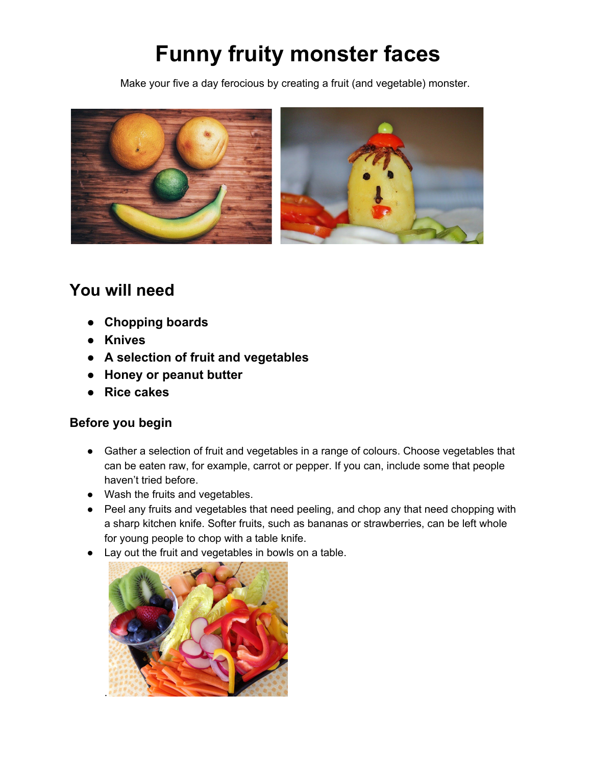# **Funny fruity monster faces**

Make your five a day ferocious by creating a fruit (and vegetable) monster.



## **You will need**

- **● Chopping boards**
- **● Knives**
- **● A selection of fruit and vegetables**
- **● Honey or peanut butter**
- **● Rice cakes**

#### **Before you begin**

- Gather a selection of fruit and vegetables in a range of colours. Choose vegetables that can be eaten raw, for example, carrot or pepper. If you can, include some that people haven't tried before.
- Wash the fruits and vegetables.
- Peel any fruits and vegetables that need peeling, and chop any that need chopping with a sharp kitchen knife. Softer fruits, such as bananas or strawberries, can be left whole for young people to chop with a table knife.
- Lay out the fruit and vegetables in bowls on a table.

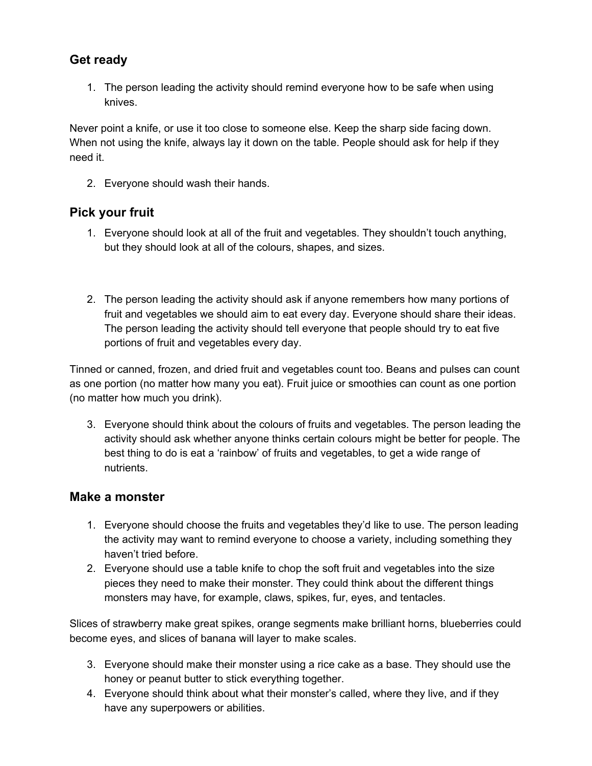### **Get ready**

1. The person leading the activity should remind everyone how to be safe when using knives.

Never point a knife, or use it too close to someone else. Keep the sharp side facing down. When not using the knife, always lay it down on the table. People should ask for help if they need it.

2. Everyone should wash their hands.

### **Pick your fruit**

- 1. Everyone should look at all of the fruit and vegetables. They shouldn't touch anything, but they should look at all of the colours, shapes, and sizes.
- 2. The person leading the activity should ask if anyone remembers how many portions of fruit and vegetables we should aim to eat every day. Everyone should share their ideas. The person leading the activity should tell everyone that people should try to eat five portions of fruit and vegetables every day.

Tinned or canned, frozen, and dried fruit and vegetables count too. Beans and pulses can count as one portion (no matter how many you eat). Fruit juice or smoothies can count as one portion (no matter how much you drink).

3. Everyone should think about the colours of fruits and vegetables. The person leading the activity should ask whether anyone thinks certain colours might be better for people. The best thing to do is eat a 'rainbow' of fruits and vegetables, to get a wide range of nutrients.

#### **Make a monster**

- 1. Everyone should choose the fruits and vegetables they'd like to use. The person leading the activity may want to remind everyone to choose a variety, including something they haven't tried before.
- 2. Everyone should use a table knife to chop the soft fruit and vegetables into the size pieces they need to make their monster. They could think about the different things monsters may have, for example, claws, spikes, fur, eyes, and tentacles.

Slices of strawberry make great spikes, orange segments make brilliant horns, blueberries could become eyes, and slices of banana will layer to make scales.

- 3. Everyone should make their monster using a rice cake as a base. They should use the honey or peanut butter to stick everything together.
- 4. Everyone should think about what their monster's called, where they live, and if they have any superpowers or abilities.